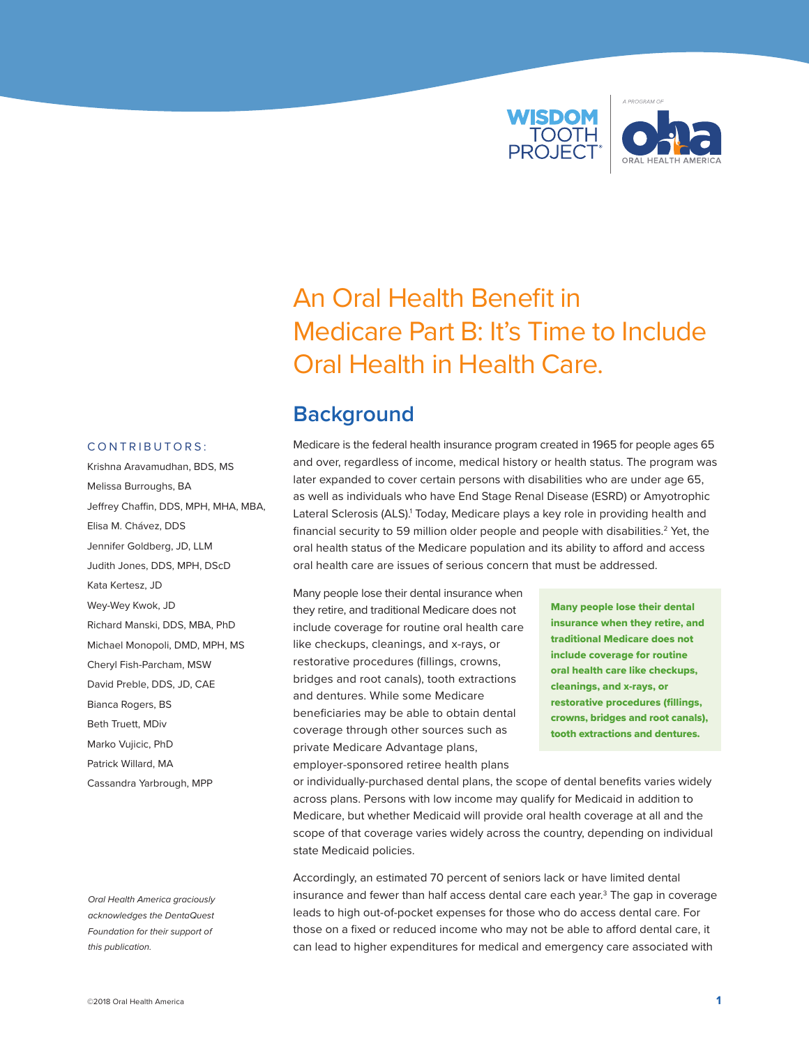

# An Oral Health Benefit in Medicare Part B: It's Time to Include Oral Health in Health Care.

## **Background**

Medicare is the federal health insurance program created in 1965 for people ages 65 and over, regardless of income, medical history or health status. The program was later expanded to cover certain persons with disabilities who are under age 65, as well as individuals who have End Stage Renal Disease (ESRD) or Amyotrophic Lateral Sclerosis (ALS).<sup>1</sup> Today, Medicare plays a key role in providing health and financial security to 59 million older people and people with disabilities.<sup>2</sup> Yet, the oral health status of the Medicare population and its ability to afford and access oral health care are issues of serious concern that must be addressed.

### Many people lose their dental insurance when they retire, and traditional Medicare does not include coverage for routine oral health care like checkups, cleanings, and x-rays, or restorative procedures (fillings, crowns, bridges and root canals), tooth extractions and dentures. While some Medicare beneficiaries may be able to obtain dental coverage through other sources such as private Medicare Advantage plans, employer-sponsored retiree health plans

Many people lose their dental insurance when they retire, and traditional Medicare does not include coverage for routine oral health care like checkups, cleanings, and x-rays, or restorative procedures (fillings, crowns, bridges and root canals), tooth extractions and dentures.

or individually-purchased dental plans, the scope of dental benefits varies widely across plans. Persons with low income may qualify for Medicaid in addition to Medicare, but whether Medicaid will provide oral health coverage at all and the scope of that coverage varies widely across the country, depending on individual state Medicaid policies.

Accordingly, an estimated 70 percent of seniors lack or have limited dental insurance and fewer than half access dental care each year.<sup>3</sup> The gap in coverage leads to high out-of-pocket expenses for those who do access dental care. For those on a fixed or reduced income who may not be able to afford dental care, it can lead to higher expenditures for medical and emergency care associated with

#### CONTRIBUTORS:

Krishna Aravamudhan, BDS, MS Melissa Burroughs, BA Jeffrey Chaffin, DDS, MPH, MHA, MBA, Elisa M. Chávez, DDS Jennifer Goldberg, JD, LLM Judith Jones, DDS, MPH, DScD Kata Kertesz, JD Wey-Wey Kwok, JD Richard Manski, DDS, MBA, PhD Michael Monopoli, DMD, MPH, MS Cheryl Fish-Parcham, MSW David Preble, DDS, JD, CAE Bianca Rogers, BS Beth Truett, MDiv Marko Vujicic, PhD Patrick Willard, MA Cassandra Yarbrough, MPP

*Oral Health America graciously acknowledges the DentaQuest Foundation for their support of this publication.*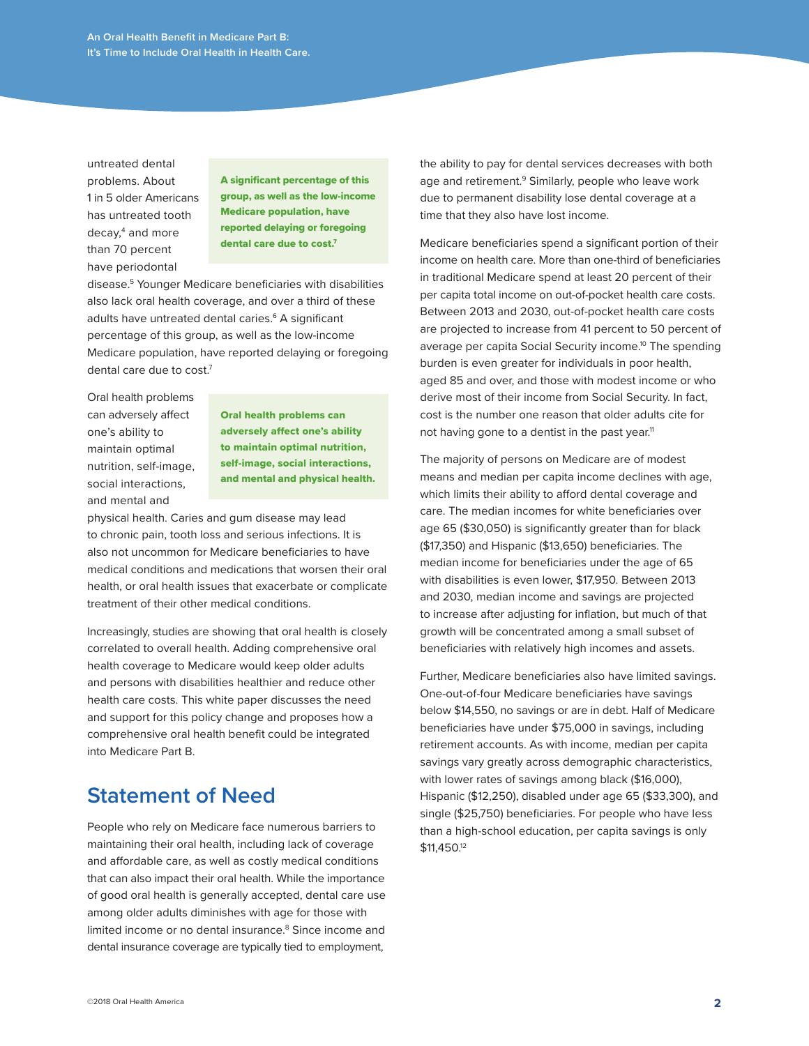untreated dental problems. About 1 in 5 older Americans has untreated tooth decay,4 and more than 70 percent have periodontal

A significant percentage of this group, as well as the low-income Medicare population, have reported delaying or foregoing dental care due to cost.<sup>7</sup>

disease.5 Younger Medicare beneficiaries with disabilities also lack oral health coverage, and over a third of these adults have untreated dental caries.<sup>6</sup> A significant percentage of this group, as well as the low-income Medicare population, have reported delaying or foregoing dental care due to cost.<sup>7</sup>

Oral health problems can adversely affect one's ability to maintain optimal nutrition, self-image, social interactions, and mental and

Oral health problems can adversely affect one's ability to maintain optimal nutrition, self-image, social interactions, and mental and physical health.

physical health. Caries and gum disease may lead to chronic pain, tooth loss and serious infections. It is also not uncommon for Medicare beneficiaries to have medical conditions and medications that worsen their oral health, or oral health issues that exacerbate or complicate treatment of their other medical conditions.

Increasingly, studies are showing that oral health is closely correlated to overall health. Adding comprehensive oral health coverage to Medicare would keep older adults and persons with disabilities healthier and reduce other health care costs. This white paper discusses the need and support for this policy change and proposes how a comprehensive oral health benefit could be integrated into Medicare Part B.

## **Statement of Need**

People who rely on Medicare face numerous barriers to maintaining their oral health, including lack of coverage and affordable care, as well as costly medical conditions that can also impact their oral health. While the importance of good oral health is generally accepted, dental care use among older adults diminishes with age for those with limited income or no dental insurance.<sup>8</sup> Since income and dental insurance coverage are typically tied to employment,

the ability to pay for dental services decreases with both age and retirement.<sup>9</sup> Similarly, people who leave work due to permanent disability lose dental coverage at a time that they also have lost income.

Medicare beneficiaries spend a significant portion of their income on health care. More than one-third of beneficiaries in traditional Medicare spend at least 20 percent of their per capita total income on out-of-pocket health care costs. Between 2013 and 2030, out-of-pocket health care costs are projected to increase from 41 percent to 50 percent of average per capita Social Security income.<sup>10</sup> The spending burden is even greater for individuals in poor health, aged 85 and over, and those with modest income or who derive most of their income from Social Security. In fact, cost is the number one reason that older adults cite for not having gone to a dentist in the past year.<sup>11</sup>

The majority of persons on Medicare are of modest means and median per capita income declines with age, which limits their ability to afford dental coverage and care. The median incomes for white beneficiaries over age 65 (\$30,050) is significantly greater than for black (\$17,350) and Hispanic (\$13,650) beneficiaries. The median income for beneficiaries under the age of 65 with disabilities is even lower, \$17,950. Between 2013 and 2030, median income and savings are projected to increase after adjusting for inflation, but much of that growth will be concentrated among a small subset of beneficiaries with relatively high incomes and assets.

Further, Medicare beneficiaries also have limited savings. One-out-of-four Medicare beneficiaries have savings below \$14,550, no savings or are in debt. Half of Medicare beneficiaries have under \$75,000 in savings, including retirement accounts. As with income, median per capita savings vary greatly across demographic characteristics, with lower rates of savings among black (\$16,000), Hispanic (\$12,250), disabled under age 65 (\$33,300), and single (\$25,750) beneficiaries. For people who have less than a high-school education, per capita savings is only \$11,450.12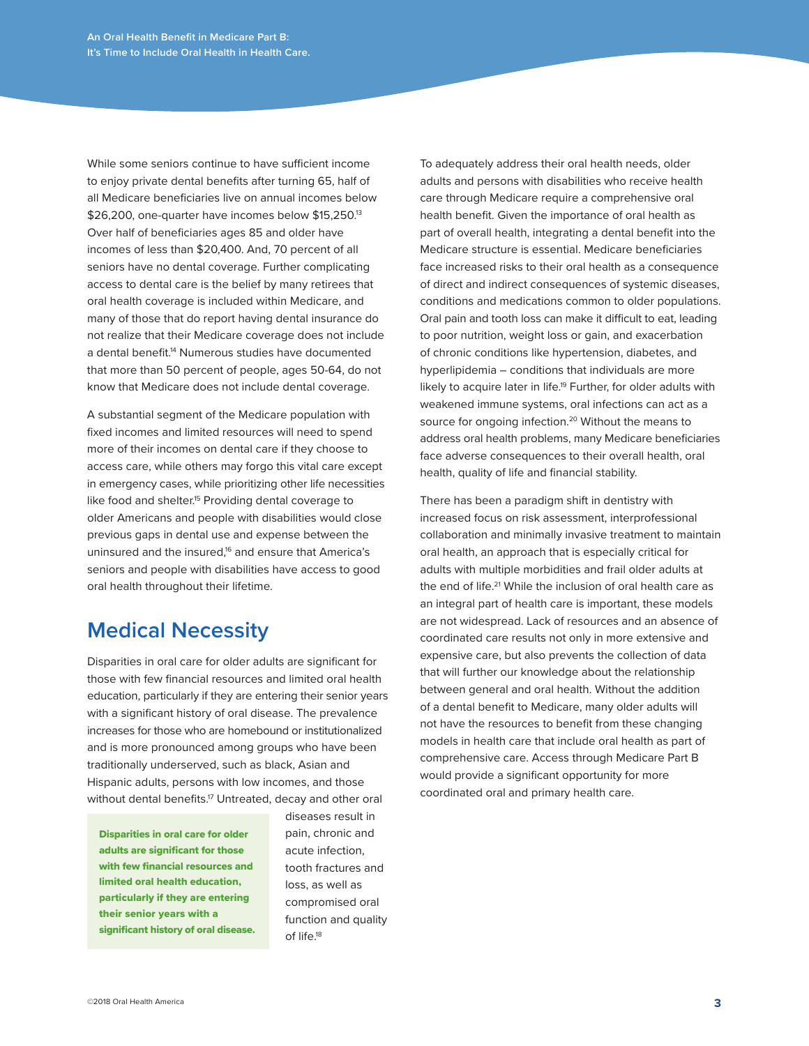While some seniors continue to have sufficient income to enjoy private dental benefits after turning 65, half of all Medicare beneficiaries live on annual incomes below \$26,200, one-quarter have incomes below \$15,250.<sup>13</sup> Over half of beneficiaries ages 85 and older have incomes of less than \$20,400. And, 70 percent of all seniors have no dental coverage. Further complicating access to dental care is the belief by many retirees that oral health coverage is included within Medicare, and many of those that do report having dental insurance do not realize that their Medicare coverage does not include a dental benefit.14 Numerous studies have documented that more than 50 percent of people, ages 50-64, do not know that Medicare does not include dental coverage.

A substantial segment of the Medicare population with fixed incomes and limited resources will need to spend more of their incomes on dental care if they choose to access care, while others may forgo this vital care except in emergency cases, while prioritizing other life necessities like food and shelter.<sup>15</sup> Providing dental coverage to older Americans and people with disabilities would close previous gaps in dental use and expense between the uninsured and the insured,<sup>16</sup> and ensure that America's seniors and people with disabilities have access to good oral health throughout their lifetime.

# **Medical Necessity**

Disparities in oral care for older adults are significant for those with few financial resources and limited oral health education, particularly if they are entering their senior years with a significant history of oral disease. The prevalence increases for those who are homebound or institutionalized and is more pronounced among groups who have been traditionally underserved, such as black, Asian and Hispanic adults, persons with low incomes, and those without dental benefits.<sup>17</sup> Untreated, decay and other oral

Disparities in oral care for older adults are significant for those with few financial resources and limited oral health education, particularly if they are entering their senior years with a significant history of oral disease. diseases result in pain, chronic and acute infection, tooth fractures and loss, as well as compromised oral function and quality of life.18

To adequately address their oral health needs, older adults and persons with disabilities who receive health care through Medicare require a comprehensive oral health benefit. Given the importance of oral health as part of overall health, integrating a dental benefit into the Medicare structure is essential. Medicare beneficiaries face increased risks to their oral health as a consequence of direct and indirect consequences of systemic diseases, conditions and medications common to older populations. Oral pain and tooth loss can make it difficult to eat, leading to poor nutrition, weight loss or gain, and exacerbation of chronic conditions like hypertension, diabetes, and hyperlipidemia – conditions that individuals are more likely to acquire later in life.<sup>19</sup> Further, for older adults with weakened immune systems, oral infections can act as a source for ongoing infection.<sup>20</sup> Without the means to address oral health problems, many Medicare beneficiaries face adverse consequences to their overall health, oral health, quality of life and financial stability.

There has been a paradigm shift in dentistry with increased focus on risk assessment, interprofessional collaboration and minimally invasive treatment to maintain oral health, an approach that is especially critical for adults with multiple morbidities and frail older adults at the end of life.<sup>21</sup> While the inclusion of oral health care as an integral part of health care is important, these models are not widespread. Lack of resources and an absence of coordinated care results not only in more extensive and expensive care, but also prevents the collection of data that will further our knowledge about the relationship between general and oral health. Without the addition of a dental benefit to Medicare, many older adults will not have the resources to benefit from these changing models in health care that include oral health as part of comprehensive care. Access through Medicare Part B would provide a significant opportunity for more coordinated oral and primary health care.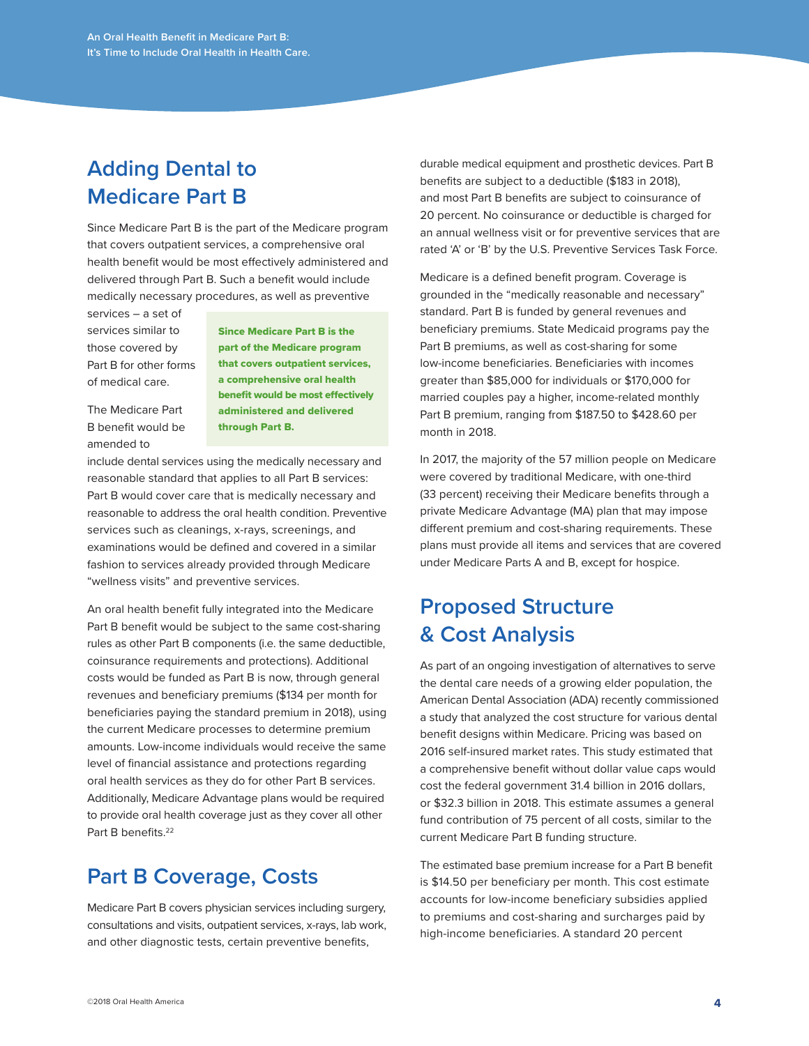# **Adding Dental to Medicare Part B**

Since Medicare Part B is the part of the Medicare program that covers outpatient services, a comprehensive oral health benefit would be most effectively administered and delivered through Part B. Such a benefit would include medically necessary procedures, as well as preventive

services – a set of services similar to those covered by Part B for other forms of medical care.

Since Medicare Part B is the part of the Medicare program that covers outpatient services, a comprehensive oral health benefit would be most effectively administered and delivered through Part B.

The Medicare Part B benefit would be amended to

include dental services using the medically necessary and reasonable standard that applies to all Part B services: Part B would cover care that is medically necessary and reasonable to address the oral health condition. Preventive services such as cleanings, x-rays, screenings, and examinations would be defined and covered in a similar fashion to services already provided through Medicare "wellness visits" and preventive services.

An oral health benefit fully integrated into the Medicare Part B benefit would be subject to the same cost-sharing rules as other Part B components (i.e. the same deductible, coinsurance requirements and protections). Additional costs would be funded as Part B is now, through general revenues and beneficiary premiums (\$134 per month for beneficiaries paying the standard premium in 2018), using the current Medicare processes to determine premium amounts. Low-income individuals would receive the same level of financial assistance and protections regarding oral health services as they do for other Part B services. Additionally, Medicare Advantage plans would be required to provide oral health coverage just as they cover all other Part B benefits<sup>22</sup>

# **Part B Coverage, Costs**

Medicare Part B covers physician services including surgery, consultations and visits, outpatient services, x-rays, lab work, and other diagnostic tests, certain preventive benefits,

durable medical equipment and prosthetic devices. Part B benefits are subject to a deductible (\$183 in 2018), and most Part B benefits are subject to coinsurance of 20 percent. No coinsurance or deductible is charged for an annual wellness visit or for preventive services that are rated 'A' or 'B' by the U.S. Preventive Services Task Force.

Medicare is a defined benefit program. Coverage is grounded in the "medically reasonable and necessary" standard. Part B is funded by general revenues and beneficiary premiums. State Medicaid programs pay the Part B premiums, as well as cost-sharing for some low-income beneficiaries. Beneficiaries with incomes greater than \$85,000 for individuals or \$170,000 for married couples pay a higher, income-related monthly Part B premium, ranging from \$187.50 to \$428.60 per month in 2018.

In 2017, the majority of the 57 million people on Medicare were covered by traditional Medicare, with one-third (33 percent) receiving their Medicare benefits through a private Medicare Advantage (MA) plan that may impose different premium and cost-sharing requirements. These plans must provide all items and services that are covered under Medicare Parts A and B, except for hospice.

# **Proposed Structure & Cost Analysis**

As part of an ongoing investigation of alternatives to serve the dental care needs of a growing elder population, the American Dental Association (ADA) recently commissioned a study that analyzed the cost structure for various dental benefit designs within Medicare. Pricing was based on 2016 self-insured market rates. This study estimated that a comprehensive benefit without dollar value caps would cost the federal government 31.4 billion in 2016 dollars, or \$32.3 billion in 2018. This estimate assumes a general fund contribution of 75 percent of all costs, similar to the current Medicare Part B funding structure.

The estimated base premium increase for a Part B benefit is \$14.50 per beneficiary per month. This cost estimate accounts for low-income beneficiary subsidies applied to premiums and cost-sharing and surcharges paid by high-income beneficiaries. A standard 20 percent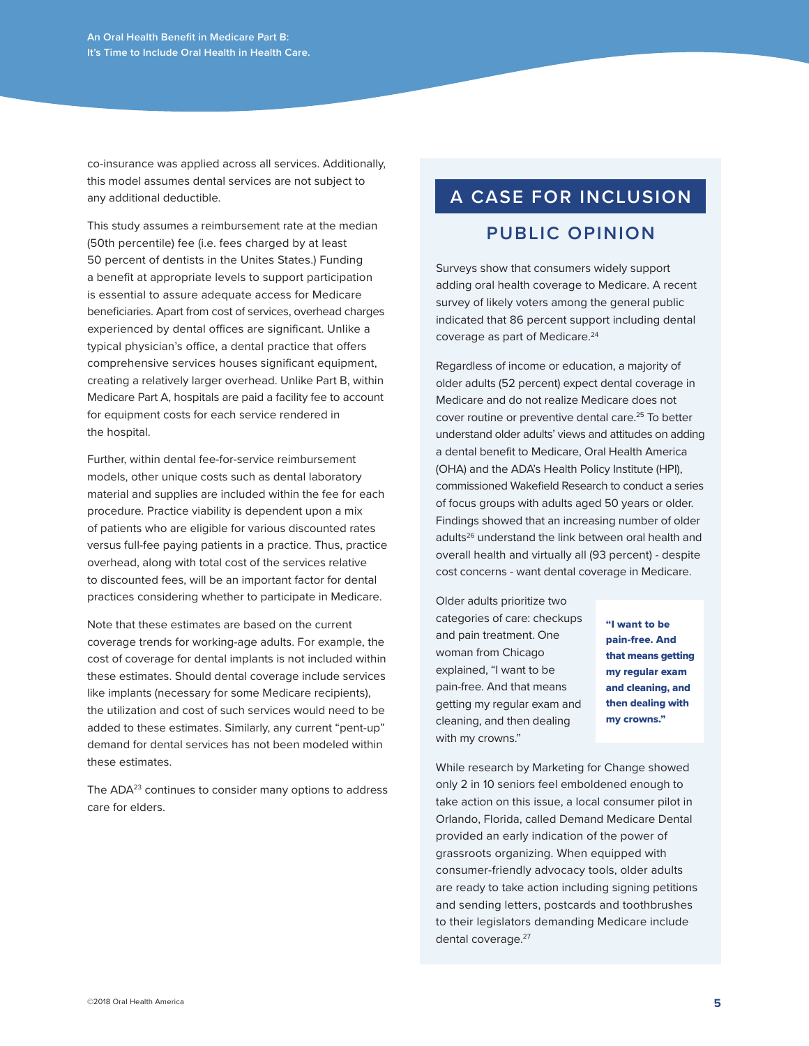co-insurance was applied across all services. Additionally, this model assumes dental services are not subject to any additional deductible.

This study assumes a reimbursement rate at the median (50th percentile) fee (i.e. fees charged by at least 50 percent of dentists in the Unites States.) Funding a benefit at appropriate levels to support participation is essential to assure adequate access for Medicare beneficiaries. Apart from cost of services, overhead charges experienced by dental offices are significant. Unlike a typical physician's office, a dental practice that offers comprehensive services houses significant equipment, creating a relatively larger overhead. Unlike Part B, within Medicare Part A, hospitals are paid a facility fee to account for equipment costs for each service rendered in the hospital.

Further, within dental fee-for-service reimbursement models, other unique costs such as dental laboratory material and supplies are included within the fee for each procedure. Practice viability is dependent upon a mix of patients who are eligible for various discounted rates versus full-fee paying patients in a practice. Thus, practice overhead, along with total cost of the services relative to discounted fees, will be an important factor for dental practices considering whether to participate in Medicare.

Note that these estimates are based on the current coverage trends for working-age adults. For example, the cost of coverage for dental implants is not included within these estimates. Should dental coverage include services like implants (necessary for some Medicare recipients), the utilization and cost of such services would need to be added to these estimates. Similarly, any current "pent-up" demand for dental services has not been modeled within these estimates.

The ADA<sup>23</sup> continues to consider many options to address care for elders.

# **A CASE FOR INCLUSION**

### **PUBLIC OPINION**

Surveys show that consumers widely support adding oral health coverage to Medicare. A recent survey of likely voters among the general public indicated that 86 percent support including dental coverage as part of Medicare.<sup>24</sup>

Regardless of income or education, a majority of older adults (52 percent) expect dental coverage in Medicare and do not realize Medicare does not cover routine or preventive dental care.<sup>25</sup> To better understand older adults' views and attitudes on adding a dental benefit to Medicare, Oral Health America (OHA) and the ADA's Health Policy Institute (HPI), commissioned Wakefield Research to conduct a series of focus groups with adults aged 50 years or older. Findings showed that an increasing number of older adults<sup>26</sup> understand the link between oral health and overall health and virtually all (93 percent) - despite cost concerns - want dental coverage in Medicare.

Older adults prioritize two categories of care: checkups and pain treatment. One woman from Chicago explained, "I want to be pain-free. And that means getting my regular exam and cleaning, and then dealing with my crowns."

"I want to be pain-free. And that means getting my regular exam and cleaning, and then dealing with my crowns."

While research by Marketing for Change showed only 2 in 10 seniors feel emboldened enough to take action on this issue, a local consumer pilot in Orlando, Florida, called Demand Medicare Dental provided an early indication of the power of grassroots organizing. When equipped with consumer-friendly advocacy tools, older adults are ready to take action including signing petitions and sending letters, postcards and toothbrushes to their legislators demanding Medicare include dental coverage.<sup>27</sup>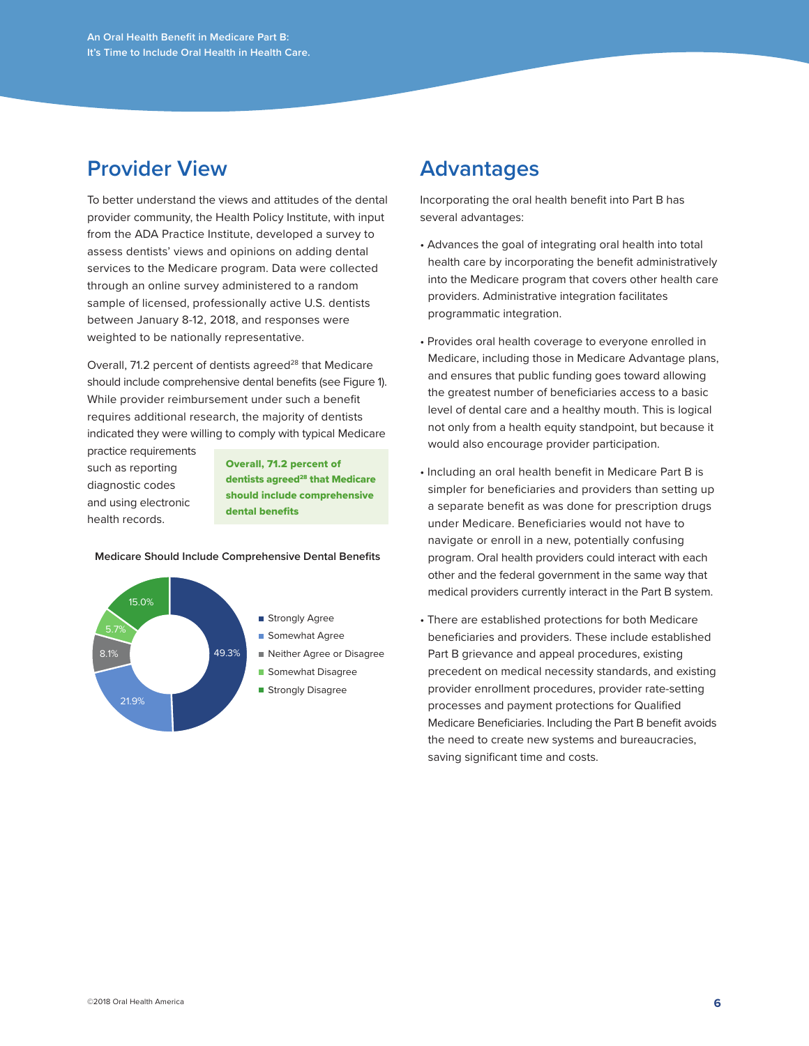## **Provider View**

To better understand the views and attitudes of the dental provider community, the Health Policy Institute, with input from the ADA Practice Institute, developed a survey to assess dentists' views and opinions on adding dental services to the Medicare program. Data were collected through an online survey administered to a random sample of licensed, professionally active U.S. dentists between January 8-12, 2018, and responses were weighted to be nationally representative.

Overall, 71.2 percent of dentists agreed<sup>28</sup> that Medicare should include comprehensive dental benefits (see Figure 1). While provider reimbursement under such a benefit requires additional research, the majority of dentists indicated they were willing to comply with typical Medicare

practice requirements such as reporting diagnostic codes and using electronic health records.

Overall, 71.2 percent of dentists agreed<sup>28</sup> that Medicare should include comprehensive dental benefits

#### **Medicare Should Include Comprehensive Dental Benefits**



### **Advantages**

Incorporating the oral health benefit into Part B has several advantages:

- Advances the goal of integrating oral health into total health care by incorporating the benefit administratively into the Medicare program that covers other health care providers. Administrative integration facilitates programmatic integration.
- Provides oral health coverage to everyone enrolled in Medicare, including those in Medicare Advantage plans, and ensures that public funding goes toward allowing the greatest number of beneficiaries access to a basic level of dental care and a healthy mouth. This is logical not only from a health equity standpoint, but because it would also encourage provider participation.
- Including an oral health benefit in Medicare Part B is simpler for beneficiaries and providers than setting up a separate benefit as was done for prescription drugs under Medicare. Beneficiaries would not have to navigate or enroll in a new, potentially confusing program. Oral health providers could interact with each other and the federal government in the same way that medical providers currently interact in the Part B system.
- There are established protections for both Medicare beneficiaries and providers. These include established Part B grievance and appeal procedures, existing precedent on medical necessity standards, and existing provider enrollment procedures, provider rate-setting processes and payment protections for Qualified Medicare Beneficiaries. Including the Part B benefit avoids the need to create new systems and bureaucracies, saving significant time and costs.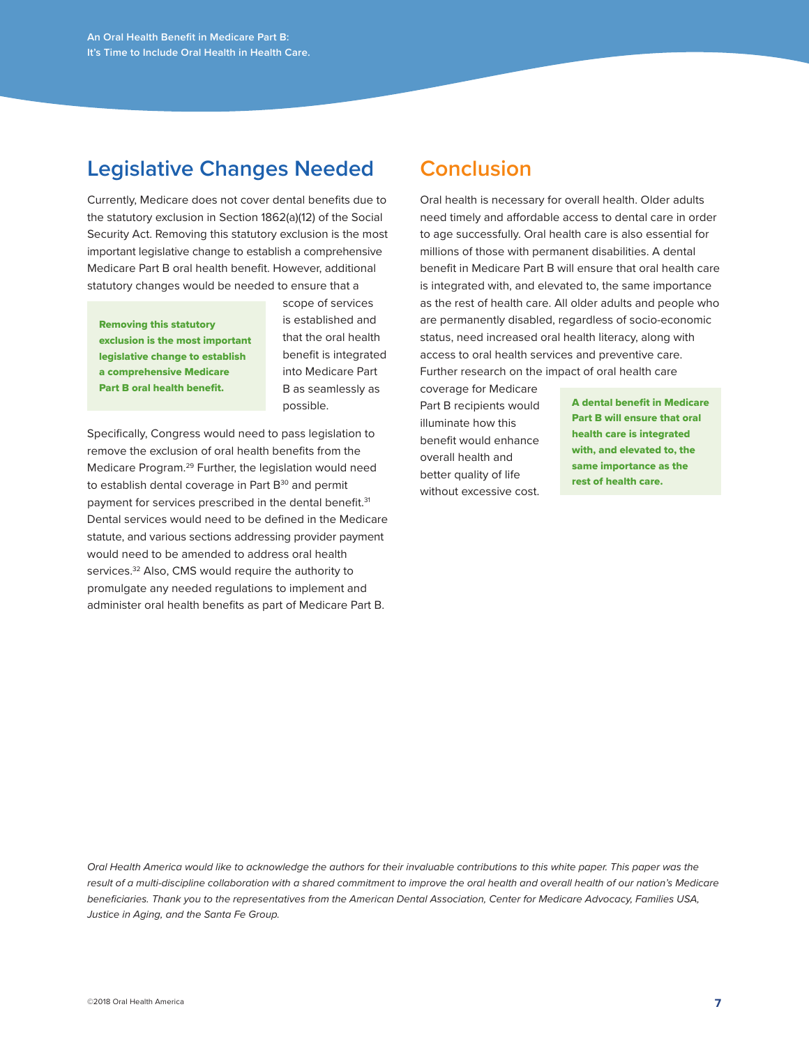## **Legislative Changes Needed**

Currently, Medicare does not cover dental benefits due to the statutory exclusion in Section 1862(a)(12) of the Social Security Act. Removing this statutory exclusion is the most important legislative change to establish a comprehensive Medicare Part B oral health benefit. However, additional statutory changes would be needed to ensure that a

Removing this statutory exclusion is the most important legislative change to establish a comprehensive Medicare Part B oral health benefit.

scope of services is established and that the oral health benefit is integrated into Medicare Part B as seamlessly as possible.

Specifically, Congress would need to pass legislation to remove the exclusion of oral health benefits from the Medicare Program.29 Further, the legislation would need to establish dental coverage in Part B<sup>30</sup> and permit payment for services prescribed in the dental benefit.<sup>31</sup> Dental services would need to be defined in the Medicare statute, and various sections addressing provider payment would need to be amended to address oral health services.<sup>32</sup> Also, CMS would require the authority to promulgate any needed regulations to implement and administer oral health benefits as part of Medicare Part B.

## **Conclusion**

Oral health is necessary for overall health. Older adults need timely and affordable access to dental care in order to age successfully. Oral health care is also essential for millions of those with permanent disabilities. A dental benefit in Medicare Part B will ensure that oral health care is integrated with, and elevated to, the same importance as the rest of health care. All older adults and people who are permanently disabled, regardless of socio-economic status, need increased oral health literacy, along with access to oral health services and preventive care. Further research on the impact of oral health care

coverage for Medicare Part B recipients would illuminate how this benefit would enhance overall health and better quality of life without excessive cost.

A dental benefit in Medicare Part B will ensure that oral health care is integrated with, and elevated to, the same importance as the rest of health care.

*Oral Health America would like to acknowledge the authors for their invaluable contributions to this white paper. This paper was the* result of a multi-discipline collaboration with a shared commitment to improve the oral health and overall health of our nation's Medicare *beneficiaries. Thank you to the representatives from the American Dental Association, Center for Medicare Advocacy, Families USA, Justice in Aging, and the Santa Fe Group.*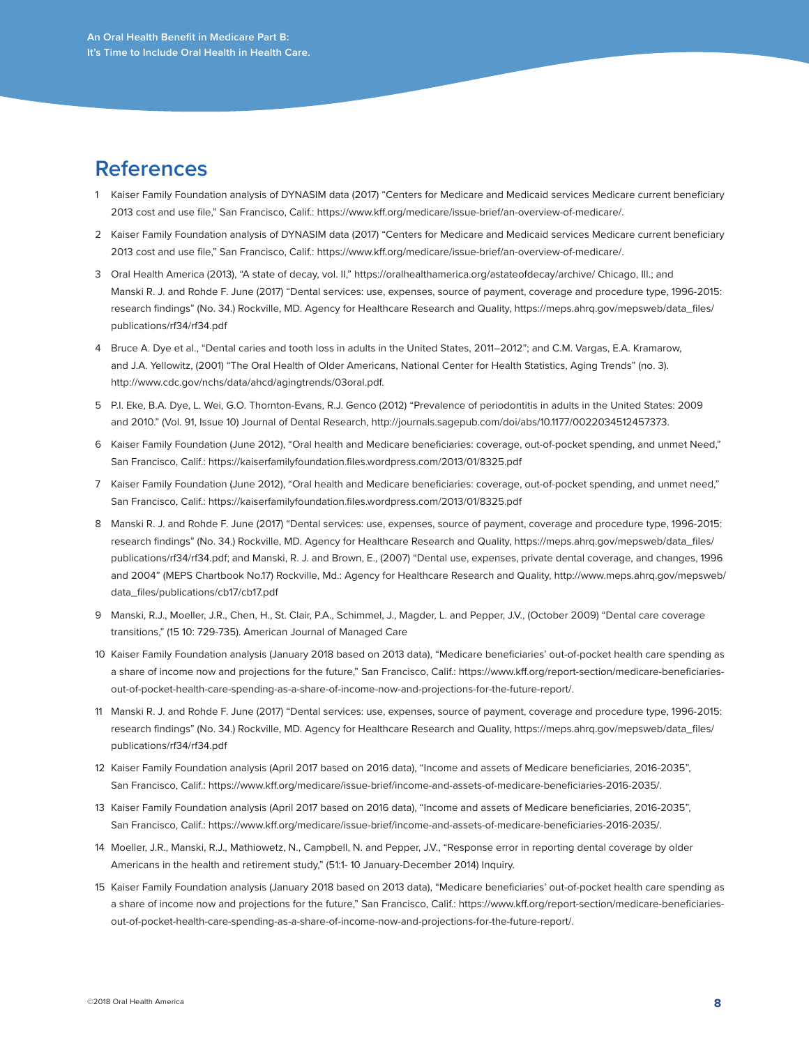### **References**

- 1 Kaiser Family Foundation analysis of DYNASIM data (2017) "Centers for Medicare and Medicaid services Medicare current beneficiary 2013 cost and use file," San Francisco, Calif.: https://www.kff.org/medicare/issue-brief/an-overview-of-medicare/.
- 2 Kaiser Family Foundation analysis of DYNASIM data (2017) "Centers for Medicare and Medicaid services Medicare current beneficiary 2013 cost and use file," San Francisco, Calif.: https://www.kff.org/medicare/issue-brief/an-overview-of-medicare/.
- 3 Oral Health America (2013), "A state of decay, vol. II," https://oralhealthamerica.org/astateofdecay/archive/ Chicago, Ill.; and Manski R. J. and Rohde F. June (2017) "Dental services: use, expenses, source of payment, coverage and procedure type, 1996-2015: research findings" (No. 34.) Rockville, MD. Agency for Healthcare Research and Quality, https://meps.ahrq.gov/mepsweb/data\_files/ publications/rf34/rf34.pdf
- 4 Bruce A. Dye et al., "Dental caries and tooth loss in adults in the United States, 2011–2012"; and C.M. Vargas, E.A. Kramarow, and J.A. Yellowitz, (2001) "The Oral Health of Older Americans, National Center for Health Statistics, Aging Trends" (no. 3). http://www.cdc.gov/nchs/data/ahcd/agingtrends/03oral.pdf.
- 5 P.I. Eke, B.A. Dye, L. Wei, G.O. Thornton-Evans, R.J. Genco (2012) "Prevalence of periodontitis in adults in the United States: 2009 and 2010." (Vol. 91, Issue 10) Journal of Dental Research, http://journals.sagepub.com/doi/abs/10.1177/0022034512457373.
- 6 Kaiser Family Foundation (June 2012), "Oral health and Medicare beneficiaries: coverage, out-of-pocket spending, and unmet Need," San Francisco, Calif.: https://kaiserfamilyfoundation.files.wordpress.com/2013/01/8325.pdf
- 7 Kaiser Family Foundation (June 2012), "Oral health and Medicare beneficiaries: coverage, out-of-pocket spending, and unmet need," San Francisco, Calif.: https://kaiserfamilyfoundation.files.wordpress.com/2013/01/8325.pdf
- 8 Manski R. J. and Rohde F. June (2017) "Dental services: use, expenses, source of payment, coverage and procedure type, 1996-2015: research findings" (No. 34.) Rockville, MD. Agency for Healthcare Research and Quality, https://meps.ahrq.gov/mepsweb/data\_files/ publications/rf34/rf34.pdf; and Manski, R. J. and Brown, E., (2007) "Dental use, expenses, private dental coverage, and changes, 1996 and 2004" (MEPS Chartbook No.17) Rockville, Md.: Agency for Healthcare Research and Quality, http://www.meps.ahrq.gov/mepsweb/ data\_files/publications/cb17/cb17.pdf
- 9 Manski, R.J., Moeller, J.R., Chen, H., St. Clair, P.A., Schimmel, J., Magder, L. and Pepper, J.V., (October 2009) "Dental care coverage transitions," (15 10: 729-735). American Journal of Managed Care
- 10 Kaiser Family Foundation analysis (January 2018 based on 2013 data), "Medicare beneficiaries' out-of-pocket health care spending as a share of income now and projections for the future," San Francisco, Calif.: https://www.kff.org/report-section/medicare-beneficiariesout-of-pocket-health-care-spending-as-a-share-of-income-now-and-projections-for-the-future-report/.
- 11 Manski R. J. and Rohde F. June (2017) "Dental services: use, expenses, source of payment, coverage and procedure type, 1996-2015: research findings" (No. 34.) Rockville, MD. Agency for Healthcare Research and Quality, https://meps.ahrq.gov/mepsweb/data\_files/ publications/rf34/rf34.pdf
- 12 Kaiser Family Foundation analysis (April 2017 based on 2016 data), "Income and assets of Medicare beneficiaries, 2016-2035", San Francisco, Calif.: https://www.kff.org/medicare/issue-brief/income-and-assets-of-medicare-beneficiaries-2016-2035/.
- 13 Kaiser Family Foundation analysis (April 2017 based on 2016 data), "Income and assets of Medicare beneficiaries, 2016-2035", San Francisco, Calif.: https://www.kff.org/medicare/issue-brief/income-and-assets-of-medicare-beneficiaries-2016-2035/.
- 14 Moeller, J.R., Manski, R.J., Mathiowetz, N., Campbell, N. and Pepper, J.V., "Response error in reporting dental coverage by older Americans in the health and retirement study," (51:1- 10 January-December 2014) Inquiry.
- 15 Kaiser Family Foundation analysis (January 2018 based on 2013 data), "Medicare beneficiaries' out-of-pocket health care spending as a share of income now and projections for the future," San Francisco, Calif.: https://www.kff.org/report-section/medicare-beneficiariesout-of-pocket-health-care-spending-as-a-share-of-income-now-and-projections-for-the-future-report/.